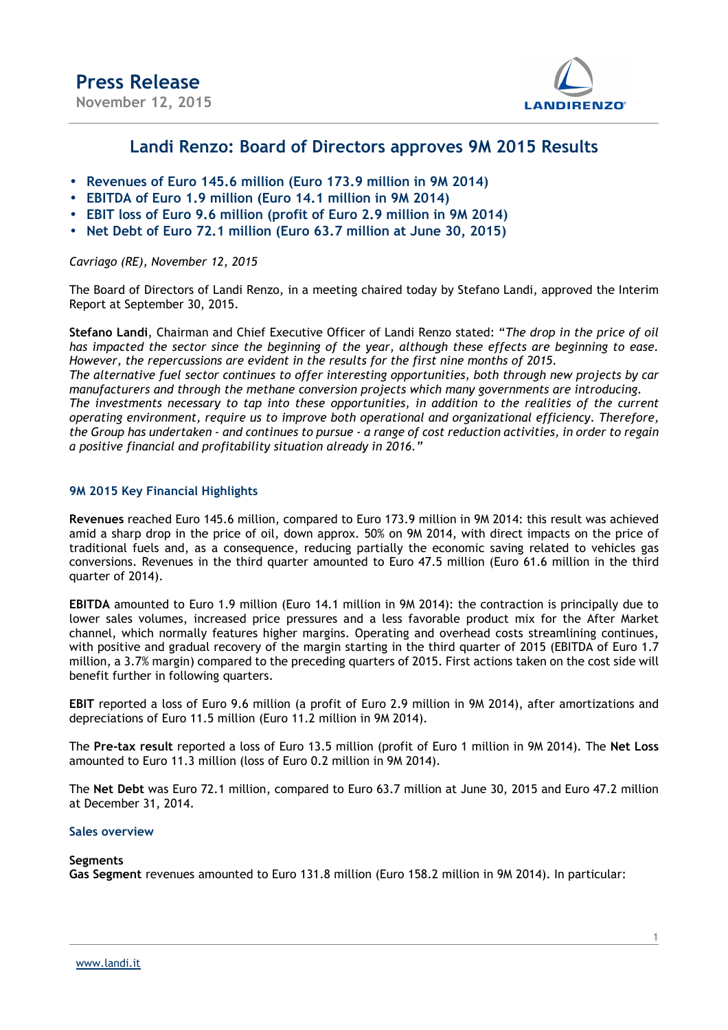

### **Landi Renzo: Board of Directors approves 9M 2015 Results**

- **Revenues of Euro 145.6 million (Euro 173.9 million in 9M 2014)**
- **EBITDA of Euro 1.9 million (Euro 14.1 million in 9M 2014)**
- **EBIT loss of Euro 9.6 million (profit of Euro 2.9 million in 9M 2014)**
- **Net Debt of Euro 72.1 million (Euro 63.7 million at June 30, 2015)**

*Cavriago (RE), November 12, 2015* 

The Board of Directors of Landi Renzo, in a meeting chaired today by Stefano Landi, approved the Interim Report at September 30, 2015.

**Stefano Landi**, Chairman and Chief Executive Officer of Landi Renzo stated: "*The drop in the price of oil has impacted the sector since the beginning of the year, although these effects are beginning to ease. However, the repercussions are evident in the results for the first nine months of 2015. The alternative fuel sector continues to offer interesting opportunities, both through new projects by car manufacturers and through the methane conversion projects which many governments are introducing. The investments necessary to tap into these opportunities, in addition to the realities of the current operating environment, require us to improve both operational and organizational efficiency. Therefore, the Group has undertaken - and continues to pursue - a range of cost reduction activities, in order to regain a positive financial and profitability situation already in 2016."* 

### **9M 2015 Key Financial Highlights**

**Revenues** reached Euro 145.6 million, compared to Euro 173.9 million in 9M 2014: this result was achieved amid a sharp drop in the price of oil, down approx. 50% on 9M 2014, with direct impacts on the price of traditional fuels and, as a consequence, reducing partially the economic saving related to vehicles gas conversions. Revenues in the third quarter amounted to Euro 47.5 million (Euro 61.6 million in the third quarter of 2014).

**EBITDA** amounted to Euro 1.9 million (Euro 14.1 million in 9M 2014): the contraction is principally due to lower sales volumes, increased price pressures and a less favorable product mix for the After Market channel, which normally features higher margins. Operating and overhead costs streamlining continues, with positive and gradual recovery of the margin starting in the third quarter of 2015 (EBITDA of Euro 1.7 million, a 3.7% margin) compared to the preceding quarters of 2015. First actions taken on the cost side will benefit further in following quarters.

**EBIT** reported a loss of Euro 9.6 million (a profit of Euro 2.9 million in 9M 2014), after amortizations and depreciations of Euro 11.5 million (Euro 11.2 million in 9M 2014).

The **Pre-tax result** reported a loss of Euro 13.5 million (profit of Euro 1 million in 9M 2014). The **Net Loss**  amounted to Euro 11.3 million (loss of Euro 0.2 million in 9M 2014).

The **Net Debt** was Euro 72.1 million, compared to Euro 63.7 million at June 30, 2015 and Euro 47.2 million at December 31, 2014.

### **Sales overview**

### **Segments**

**Gas Segment** revenues amounted to Euro 131.8 million (Euro 158.2 million in 9M 2014). In particular: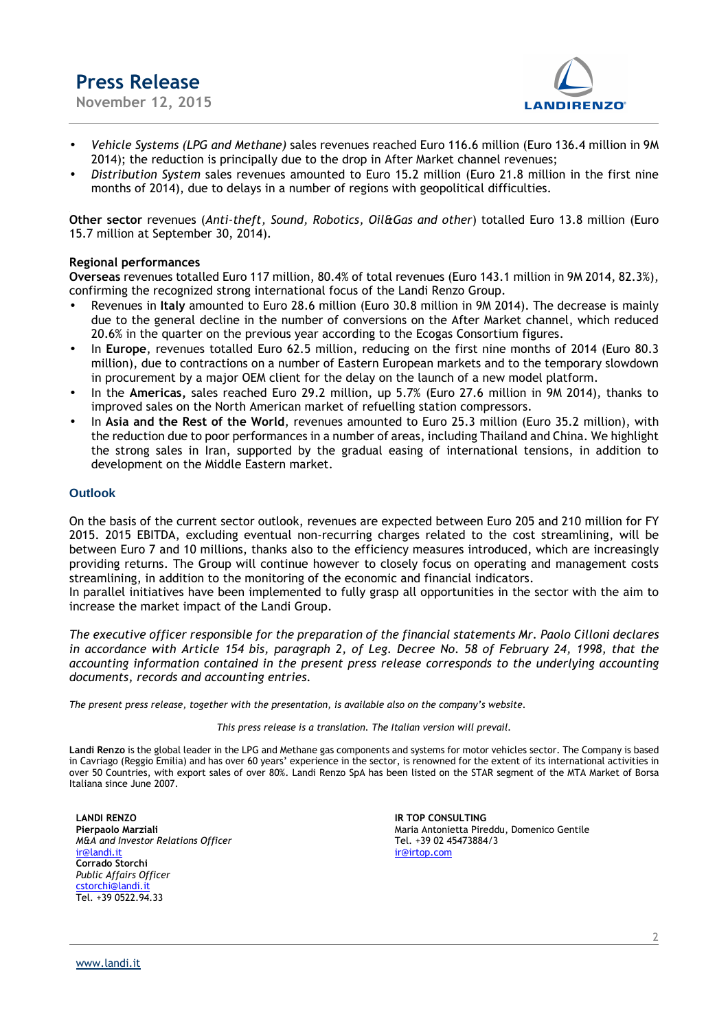

- *Vehicle Systems (LPG and Methane)* sales revenues reached Euro 116.6 million (Euro 136.4 million in 9M 2014); the reduction is principally due to the drop in After Market channel revenues;
- *Distribution System* sales revenues amounted to Euro 15.2 million (Euro 21.8 million in the first nine months of 2014), due to delays in a number of regions with geopolitical difficulties.

**Other sector** revenues (*Anti-theft, Sound, Robotics, Oil&Gas and other*) totalled Euro 13.8 million (Euro 15.7 million at September 30, 2014).

### **Regional performances**

**Overseas** revenues totalled Euro 117 million, 80.4% of total revenues (Euro 143.1 million in 9M 2014, 82.3%), confirming the recognized strong international focus of the Landi Renzo Group.

- Revenues in **Italy** amounted to Euro 28.6 million (Euro 30.8 million in 9M 2014). The decrease is mainly due to the general decline in the number of conversions on the After Market channel, which reduced 20.6% in the quarter on the previous year according to the Ecogas Consortium figures.
- In **Europe**, revenues totalled Euro 62.5 million, reducing on the first nine months of 2014 (Euro 80.3 million), due to contractions on a number of Eastern European markets and to the temporary slowdown in procurement by a major OEM client for the delay on the launch of a new model platform.
- In the **Americas,** sales reached Euro 29.2 million, up 5.7% (Euro 27.6 million in 9M 2014), thanks to improved sales on the North American market of refuelling station compressors.
- In **Asia and the Rest of the World**, revenues amounted to Euro 25.3 million (Euro 35.2 million), with the reduction due to poor performances in a number of areas, including Thailand and China. We highlight the strong sales in Iran, supported by the gradual easing of international tensions, in addition to development on the Middle Eastern market.

### **Outlook**

On the basis of the current sector outlook, revenues are expected between Euro 205 and 210 million for FY 2015. 2015 EBITDA, excluding eventual non-recurring charges related to the cost streamlining, will be between Euro 7 and 10 millions, thanks also to the efficiency measures introduced, which are increasingly providing returns. The Group will continue however to closely focus on operating and management costs streamlining, in addition to the monitoring of the economic and financial indicators.

In parallel initiatives have been implemented to fully grasp all opportunities in the sector with the aim to increase the market impact of the Landi Group.

*The executive officer responsible for the preparation of the financial statements Mr. Paolo Cilloni declares in accordance with Article 154 bis, paragraph 2, of Leg. Decree No. 58 of February 24, 1998, that the accounting information contained in the present press release corresponds to the underlying accounting documents, records and accounting entries.* 

*The present press release, together with the presentation, is available also on the company's website.* 

*This press release is a translation. The Italian version will prevail.* 

**Landi Renzo** is the global leader in the LPG and Methane gas components and systems for motor vehicles sector. The Company is based in Cavriago (Reggio Emilia) and has over 60 years' experience in the sector, is renowned for the extent of its international activities in over 50 Countries, with export sales of over 80%. Landi Renzo SpA has been listed on the STAR segment of the MTA Market of Borsa Italiana since June 2007.

**LANDI RENZO IR TOP CONSULTING** *M&A and Investor Relations Officer* ir@landi.it ir@irtop.com **Corrado Storchi** *Public Affairs Officer* cstorchi@landi.it Tel. +39 0522.94.33

Maria Antonietta Pireddu, Domenico Gentile<br>Tel. +39 02 45473884/3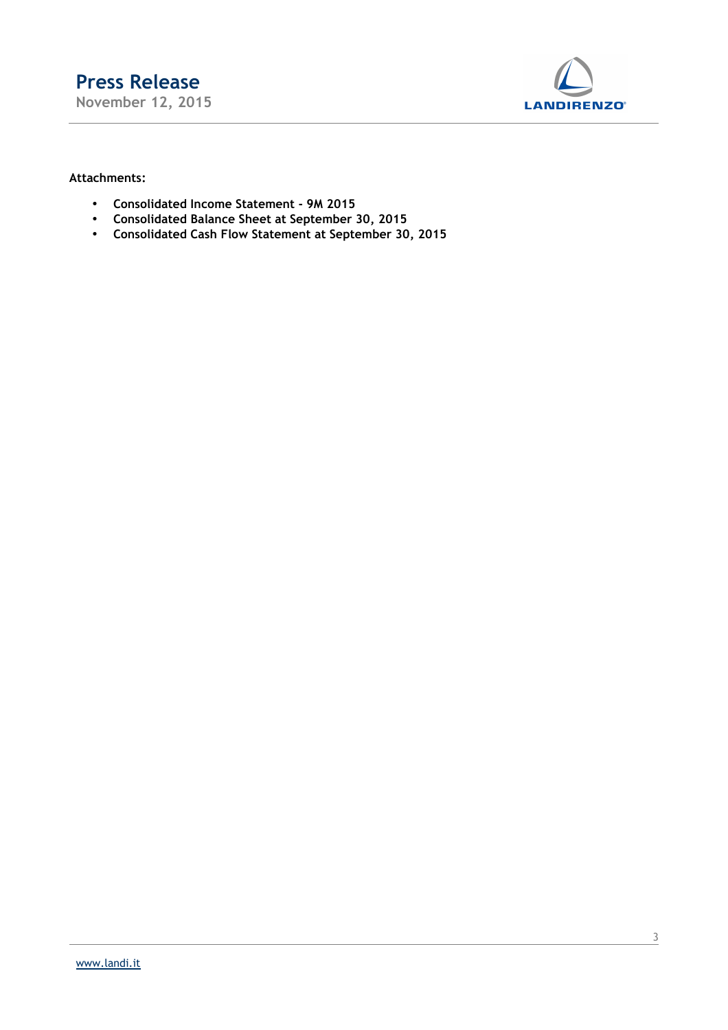**November 12, 2015** 



### **Attachments:**

- **Consolidated Income Statement 9M 2015**
- **Consolidated Balance Sheet at September 30, 2015**
- **Consolidated Cash Flow Statement at September 30, 2015**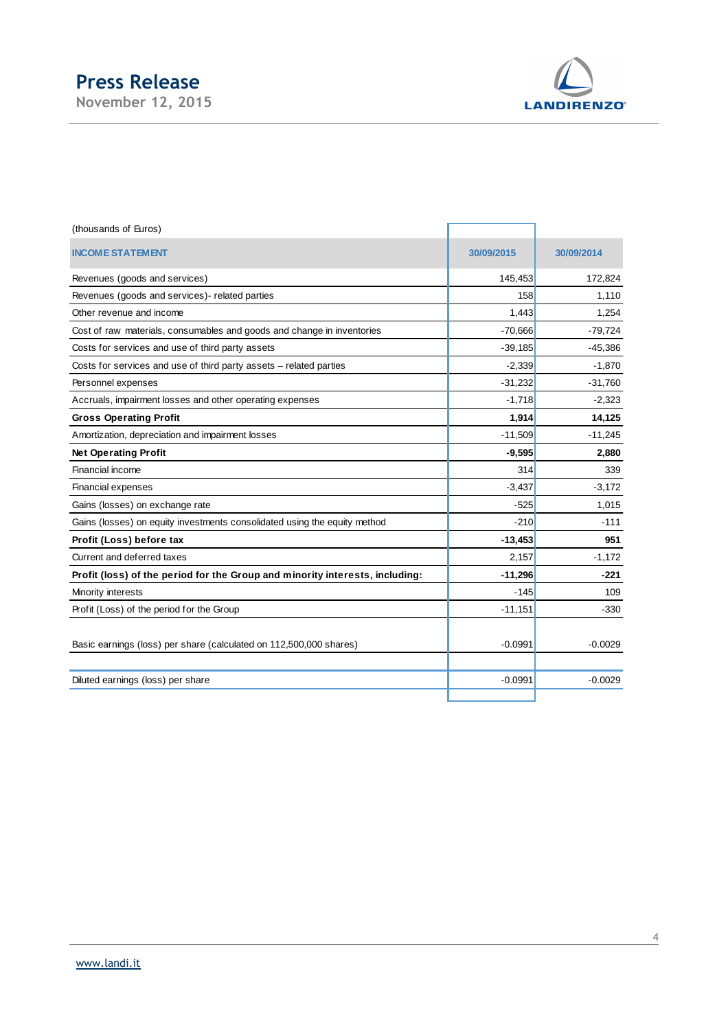**November 12, 2015** 



| (thousands of Euros)                                                         |            |            |
|------------------------------------------------------------------------------|------------|------------|
| <b>INCOME STATEMENT</b>                                                      | 30/09/2015 | 30/09/2014 |
| Revenues (goods and services)                                                | 145,453    | 172,824    |
| Revenues (goods and services)- related parties                               | 158        | 1,110      |
| Other revenue and income                                                     | 1,443      | 1,254      |
| Cost of raw materials, consumables and goods and change in inventories       | $-70,666$  | $-79,724$  |
| Costs for services and use of third party assets                             | $-39,185$  | $-45,386$  |
| Costs for services and use of third party assets - related parties           | $-2,339$   | $-1,870$   |
| Personnel expenses                                                           | $-31,232$  | $-31.760$  |
| Accruals, impairment losses and other operating expenses                     | $-1,718$   | $-2,323$   |
| <b>Gross Operating Profit</b>                                                | 1,914      | 14,125     |
| Amortization, depreciation and impairment losses                             | $-11,509$  | $-11,245$  |
| <b>Net Operating Profit</b>                                                  | $-9,595$   | 2,880      |
| Financial income                                                             | 314        | 339        |
| Financial expenses                                                           | $-3,437$   | $-3,172$   |
| Gains (losses) on exchange rate                                              | $-525$     | 1,015      |
| Gains (losses) on equity investments consolidated using the equity method    | $-210$     | $-111$     |
| Profit (Loss) before tax                                                     | $-13,453$  | 951        |
| Current and deferred taxes                                                   | 2,157      | $-1,172$   |
| Profit (loss) of the period for the Group and minority interests, including: | $-11,296$  | $-221$     |
| Minority interests                                                           | $-145$     | 109        |
| Profit (Loss) of the period for the Group                                    | $-11,151$  | $-330$     |
|                                                                              |            |            |
| Basic earnings (loss) per share (calculated on 112,500,000 shares)           | $-0.0991$  | $-0.0029$  |
|                                                                              |            |            |
| Diluted earnings (loss) per share                                            | $-0.0991$  | $-0.0029$  |
|                                                                              |            |            |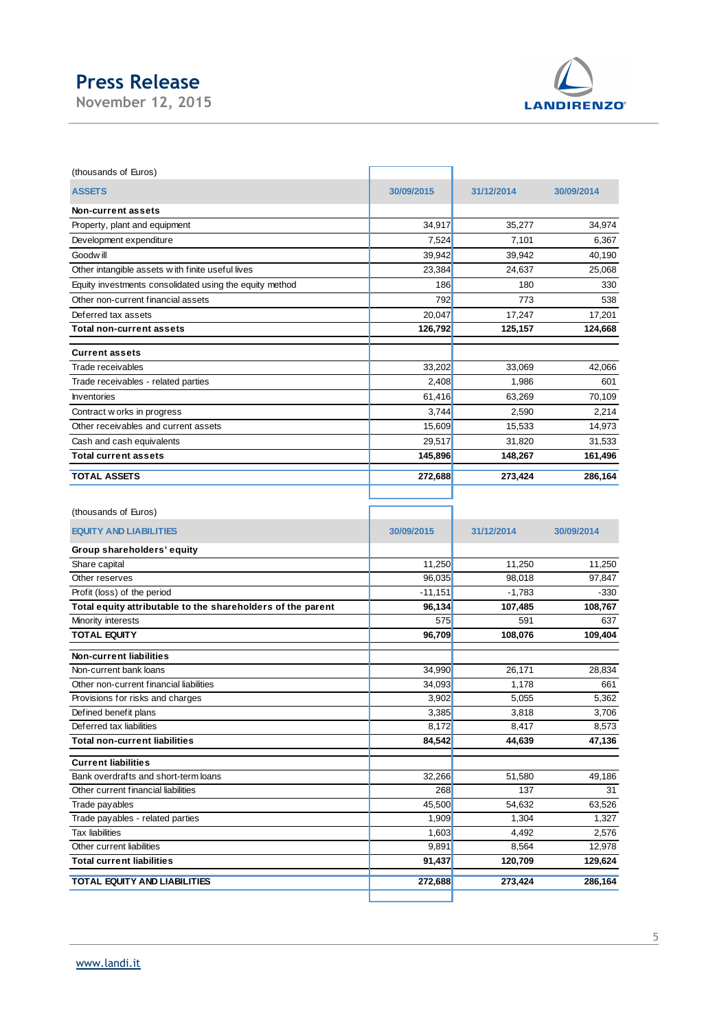**November 12, 2015** 



| (thousands of Euros)                                        |            |            |            |
|-------------------------------------------------------------|------------|------------|------------|
| <b>ASSETS</b>                                               | 30/09/2015 | 31/12/2014 | 30/09/2014 |
| <b>Non-current assets</b>                                   |            |            |            |
| Property, plant and equipment                               | 34,917     | 35,277     | 34,974     |
| Development expenditure                                     | 7,524      | 7,101      | 6,367      |
| Goodw ill                                                   | 39,942     | 39,942     | 40,190     |
| Other intangible assets with finite useful lives            | 23,384     | 24,637     | 25,068     |
| Equity investments consolidated using the equity method     | 186        | 180        | 330        |
| Other non-current financial assets                          | 792        | 773        | 538        |
| Deferred tax assets                                         | 20,047     | 17,247     | 17,201     |
| <b>Total non-current assets</b>                             | 126,792    | 125,157    | 124,668    |
| <b>Current assets</b>                                       |            |            |            |
| Trade receivables                                           | 33,202     | 33,069     | 42,066     |
| Trade receivables - related parties                         | 2,408      | 1,986      | 601        |
| Inventories                                                 | 61,416     | 63,269     | 70,109     |
| Contract w orks in progress                                 | 3.744      | 2,590      | 2,214      |
| Other receivables and current assets                        | 15.609     | 15,533     | 14,973     |
| Cash and cash equivalents                                   | 29,517     | 31,820     | 31,533     |
| <b>Total current assets</b>                                 | 145,896    | 148,267    | 161,496    |
|                                                             |            |            |            |
| <b>TOTAL ASSETS</b>                                         | 272,688    | 273,424    | 286,164    |
|                                                             |            |            |            |
| (thousands of Euros)                                        |            |            |            |
| <b>EQUITY AND LIABILITIES</b>                               | 30/09/2015 | 31/12/2014 | 30/09/2014 |
| Group shareholders' equity                                  |            |            |            |
| Share capital                                               | 11,250     | 11,250     | 11,250     |
| Other reserves                                              | 96,035     | 98,018     | 97,847     |
| Profit (loss) of the period                                 | $-11,151$  | $-1,783$   | $-330$     |
| Total equity attributable to the shareholders of the parent | 96,134     | 107,485    | 108,767    |
| Minority interests                                          | 575        | 591        | 637        |
| <b>TOTAL EQUITY</b>                                         | 96,709     | 108,076    | 109,404    |
| Non-current liabilities                                     |            |            |            |
| Non-current bank loans                                      | 34,990     | 26,171     | 28,834     |
| Other non-current financial liabilities                     | 34,093     | 1,178      | 661        |
| Provisions for risks and charges                            | 3,902      | 5,055      | 5,362      |
| Defined benefit plans                                       | 3,385      | 3,818      | 3,706      |
| Deferred tax liabilities                                    | 8,172      | 8,417      | 8,573      |
| <b>Total non-current liabilities</b>                        | 84,542     | 44,639     | 47,136     |
| <b>Current liabilities</b>                                  |            |            |            |
| Bank overdrafts and short-term loans                        | 32,266     | 51,580     | 49,186     |
| Other current financial liabilities                         | 268        | 137        | 31         |
| Trade payables                                              | 45,500     | 54,632     | 63,526     |
| Trade payables - related parties                            | 1,909      | 1,304      | 1,327      |
| <b>Tax liabilities</b>                                      | 1,603      | 4,492      | 2,576      |
| Other current liabilities                                   | 9,891      | 8,564      | 12,978     |
| <b>Total current liabilities</b>                            | 91,437     | 120,709    | 129,624    |
| <b>TOTAL EQUITY AND LIABILITIES</b>                         | 272,688    | 273,424    | 286,164    |
|                                                             |            |            |            |